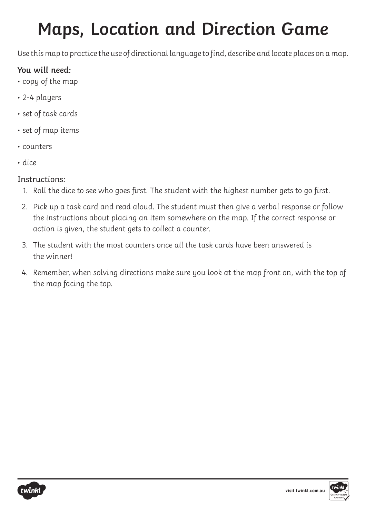# **Maps, Location and Direction Game**

Use this map to practice the use of directional language to find, describe and locate places on a map.

# **You will need:**

- copy of the map
- 2-4 players
- set of task cards
- set of map items
- counters
- dice

# Instructions:

- 1. Roll the dice to see who goes first. The student with the highest number gets to go first.
- 2. Pick up a task card and read aloud. The student must then give a verbal response or follow the instructions about placing an item somewhere on the map. If the correct response or action is given, the student gets to collect a counter.
- 3. The student with the most counters once all the task cards have been answered is the winner!
- 4. Remember, when solving directions make sure you look at the map front on, with the top of the map facing the top.



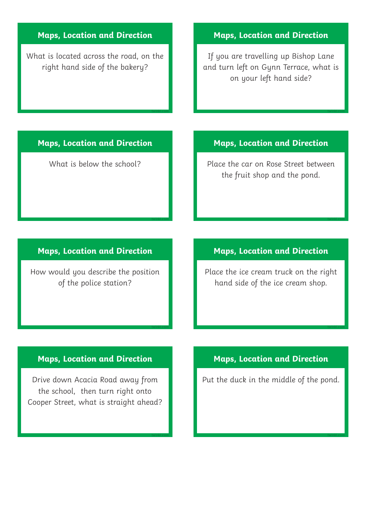# **Maps, Location and Direction**

What is located across the road, on the right hand side of the bakery?

#### **Maps, Location and Direction**

If you are travelling up Bishop Lane and turn left on Gynn Terrace, what is on your left hand side?

# **Maps, Location and Direction**

**twinkl.com**

**twinkl.com**

**twinkl.com**

**twinkl.com**

What is below the school?

#### **Maps, Location and Direction**

How would you describe the position of the police station?

# **Maps, Location and Direction**

Drive down Acacia Road away from the school, then turn right onto Cooper Street, what is straight ahead?

# **Maps, Location and Direction**

**twinkl.com**

**twinkl.com**

**twinkl.com**

**twinkl.com**

Place the car on Rose Street between the fruit shop and the pond.

# **Maps, Location and Direction**

Place the ice cream truck on the right hand side of the ice cream shop.

# **Maps, Location and Direction**

Put the duck in the middle of the pond.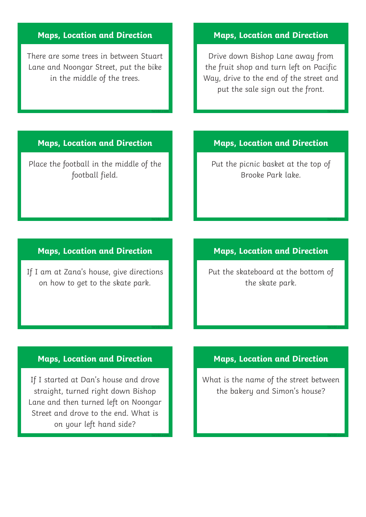# **Maps, Location and Direction**

There are some trees in between Stuart Lane and Noongar Street, put the bike in the middle of the trees.

#### **Maps, Location and Direction**

**twinkl.com**

**twinkl.com**

**twinkl.com**

**twinkl.com**

Place the football in the middle of the football field.

## **Maps, Location and Direction**

If I am at Zana's house, give directions on how to get to the skate park.

#### **Maps, Location and Direction**

If I started at Dan's house and drove straight, turned right down Bishop Lane and then turned left on Noongar Street and drove to the end. What is on your left hand side?

# **Maps, Location and Direction**

Drive down Bishop Lane away from the fruit shop and turn left on Pacific Way, drive to the end of the street and put the sale sign out the front.

# **Maps, Location and Direction**

**twinkl.com**

**twinkl.com**

**twinkl.com**

**twinkl.com**

Put the picnic basket at the top of Brooke Park lake.

# **Maps, Location and Direction**

Put the skateboard at the bottom of the skate park.

# **Maps, Location and Direction**

What is the name of the street between the bakery and Simon's house?